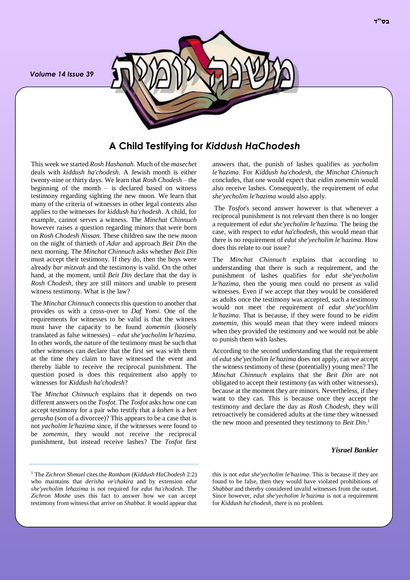*Volume 14 Issue 39*



# **A Child Testifying for** *Kiddush HaChodesh*

This week we started *Rosh Hashanah*. Much of the *masechet* deals with *kiddush ha'chodesh*. A Jewish month is either twenty-nine or thirty days. We learn that *Rosh Chodesh* – the beginning of the month – is declared based on witness testimony regarding sighting the new moon. We learn that many of the criteria of witnesses in other legal contexts also applies to the witnesses for *kiddush ha'chodesh*. A child, for example, cannot serves a witness. The *Minchat Chinnuch* however raises a question regarding minors that were born on *Rosh Chodesh Nissan*. These children saw the new moon on the night of thirtieth of *Adar* and approach *Beit Din* the next morning. The *Minchat Chinnuch* asks whether *Beit Din*  must accept their testimony. If they do, then the boys were already *bar mitzvah* and the testimony is valid. On the other hand, at the moment, until *Beit Din* declare that the day is *Rosh Chodesh*, they are still minors and unable to present witness testimony. What is the law?

The *Minchat Chinnuch* connects this question to another that provides us with a cross-over to *Daf Yomi*. One of the requirements for witnesses to be valid is that the witness must have the capacity to be found *zomemin* (loosely translated as false witnesses) – *edut she'yacholim le'hazima*. In other words, the nature of the testimony must be such that other witnesses can declare that the first set was with them at the time they claim to have witnessed the event and thereby liable to receive the reciprocal punishment. The question posed is does this requirement also apply to witnesses for *Kiddush ha'chodesh*?

The *Minchat Chinnuch* explains that it depends on two different answers on the *Tosfot*. The *Tosfot* asks how one can accept testimony for a pair who testify that a *kohen* is a *ben gerusha* (son of a divorcee)? This appears to be a case that is not *yacholim le'hazima* since, if the witnesses were found to be *zomemin*, they would not receive the reciprocal punishment, but instead receive lashes? The *Tosfot* first

<sup>1</sup> The *Zichron Shmuel* cites the *Rambam* (*Kiddush HaChodesh* 2:2) who maintains that *derisha ve'chakira* and by extension *edut she'yecholim lehazima* is not required for *edut ha'chodesh*. The *Zichron Moshe* uses this fact to answer how we can accept testimony from witness that arrive on *Shabbat*. It would appear that

answers that, the punish of lashes qualifies as *yacholim le'hazima*. For *Kiddush ha'chodesh*, the *Minchat Chinnuch* concludes, that one would expect that *eidim zomemin* would also receive lashes. Consequently, the requirement of *edut she'yecholim le'hazima* would also apply.

The *Tosfot*'s second answer however is that whenever a reciprocal punishment is not relevant then there is no longer a requirement of *edut she'yecholim le'hazima*. The being the case, with respect to *edut ha'chodesh*, this would mean that there is no requirement of *edut she'yecholim le'hazima*. How does this relate to our issue?

The *Minchat Chinnuch* explains that according to understanding that there is such a requirement, and the punishment of lashes qualifies for *edut she'yecholim le'hazima*, then the young men could no present as valid witnesses. Even if we accept that they would be considered as adults once the testimony was accepted, such a testimony would not meet the requirement of *edut she'yochlim le'hazima*. That is because, if they were found to be *eidim zomemin*, this would mean that they were indeed minors when they provided the testimony and we would not be able to punish them with lashes.

According to the second understanding that the requirement of *edut she'yecholim le'hazima* does not apply, can we accept the witness testimony of these (potentially) young men? The *Minchat Chinnuch* explains that the *Beit Din* are not obligated to accept their testimony (as with other witnesses), because at the moment they are minors. Nevertheless, if they want to they can. This is because once they accept the testimony and declare the day as *Rosh Chodesh*, they will retroactively be considered adults at the time they witnessed the new moon and presented they testimony to *Beit Din*. 1

#### *Yisrael Bankier*

this is not *edut she'yecholim le'hazima*. This is because if they are found to be false, then they would have violated prohibitions of *Shabbat* and thereby considered invalid witnesses from the outset. Since however, *edut she'yecholim le'hazima* is not a requirement for *Kiddush ha'chodesh*, there is no problem.